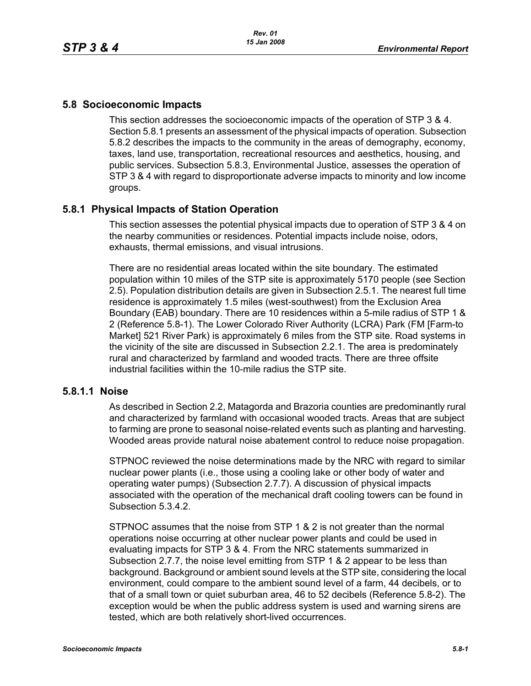# **5.8 Socioeconomic Impacts**

This section addresses the socioeconomic impacts of the operation of STP 3 & 4. Section 5.8.1 presents an assessment of the physical impacts of operation. Subsection 5.8.2 describes the impacts to the community in the areas of demography, economy, taxes, land use, transportation, recreational resources and aesthetics, housing, and public services. Subsection 5.8.3, Environmental Justice, assesses the operation of STP 3 & 4 with regard to disproportionate adverse impacts to minority and low income groups.

# **5.8.1 Physical Impacts of Station Operation**

This section assesses the potential physical impacts due to operation of STP 3 & 4 on the nearby communities or residences. Potential impacts include noise, odors, exhausts, thermal emissions, and visual intrusions.

There are no residential areas located within the site boundary. The estimated population within 10 miles of the STP site is approximately 5170 people (see Section 2.5). Population distribution details are given in Subsection 2.5.1. The nearest full time residence is approximately 1.5 miles (west-southwest) from the Exclusion Area Boundary (EAB) boundary. There are 10 residences within a 5-mile radius of STP 1 & 2 (Reference 5.8-1). The Lower Colorado River Authority (LCRA) Park (FM [Farm-to Market] 521 River Park) is approximately 6 miles from the STP site. Road systems in the vicinity of the site are discussed in Subsection 2.2.1. The area is predominately rural and characterized by farmland and wooded tracts. There are three offsite industrial facilities within the 10-mile radius the STP site.

# **5.8.1.1 Noise**

As described in Section 2.2, Matagorda and Brazoria counties are predominantly rural and characterized by farmland with occasional wooded tracts. Areas that are subject to farming are prone to seasonal noise-related events such as planting and harvesting. Wooded areas provide natural noise abatement control to reduce noise propagation.

STPNOC reviewed the noise determinations made by the NRC with regard to similar nuclear power plants (i.e., those using a cooling lake or other body of water and operating water pumps) (Subsection 2.7.7). A discussion of physical impacts associated with the operation of the mechanical draft cooling towers can be found in Subsection 5.3.4.2.

STPNOC assumes that the noise from STP 1 & 2 is not greater than the normal operations noise occurring at other nuclear power plants and could be used in evaluating impacts for STP 3 & 4. From the NRC statements summarized in Subsection 2.7.7, the noise level emitting from STP 1 & 2 appear to be less than background. Background or ambient sound levels at the STP site, considering the local environment, could compare to the ambient sound level of a farm, 44 decibels, or to that of a small town or quiet suburban area, 46 to 52 decibels (Reference 5.8-2). The exception would be when the public address system is used and warning sirens are tested, which are both relatively short-lived occurrences.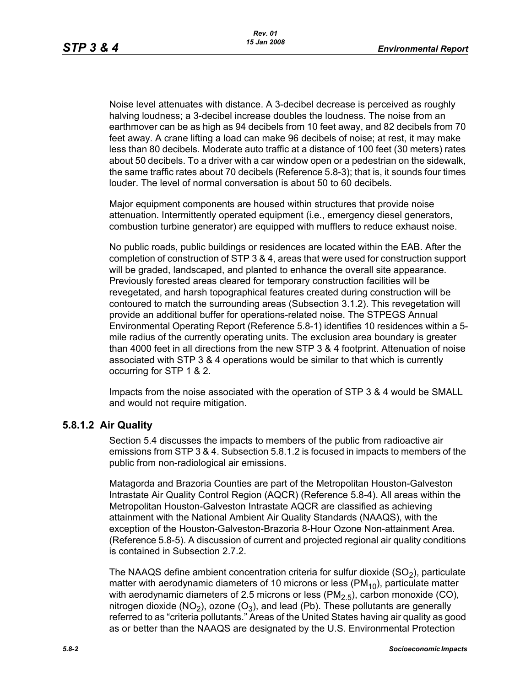Noise level attenuates with distance. A 3-decibel decrease is perceived as roughly halving loudness; a 3-decibel increase doubles the loudness. The noise from an earthmover can be as high as 94 decibels from 10 feet away, and 82 decibels from 70 feet away. A crane lifting a load can make 96 decibels of noise; at rest, it may make less than 80 decibels. Moderate auto traffic at a distance of 100 feet (30 meters) rates about 50 decibels. To a driver with a car window open or a pedestrian on the sidewalk, the same traffic rates about 70 decibels (Reference 5.8-3); that is, it sounds four times louder. The level of normal conversation is about 50 to 60 decibels.

Major equipment components are housed within structures that provide noise attenuation. Intermittently operated equipment (i.e., emergency diesel generators, combustion turbine generator) are equipped with mufflers to reduce exhaust noise.

No public roads, public buildings or residences are located within the EAB. After the completion of construction of STP 3 & 4, areas that were used for construction support will be graded, landscaped, and planted to enhance the overall site appearance. Previously forested areas cleared for temporary construction facilities will be revegetated, and harsh topographical features created during construction will be contoured to match the surrounding areas (Subsection 3.1.2). This revegetation will provide an additional buffer for operations-related noise. The STPEGS Annual Environmental Operating Report (Reference 5.8-1) identifies 10 residences within a 5 mile radius of the currently operating units. The exclusion area boundary is greater than 4000 feet in all directions from the new STP 3 & 4 footprint. Attenuation of noise associated with STP 3 & 4 operations would be similar to that which is currently occurring for STP 1 & 2.

Impacts from the noise associated with the operation of STP 3 & 4 would be SMALL and would not require mitigation.

#### **5.8.1.2 Air Quality**

Section 5.4 discusses the impacts to members of the public from radioactive air emissions from STP 3 & 4. Subsection 5.8.1.2 is focused in impacts to members of the public from non-radiological air emissions.

Matagorda and Brazoria Counties are part of the Metropolitan Houston-Galveston Intrastate Air Quality Control Region (AQCR) (Reference 5.8-4). All areas within the Metropolitan Houston-Galveston Intrastate AQCR are classified as achieving attainment with the National Ambient Air Quality Standards (NAAQS), with the exception of the Houston-Galveston-Brazoria 8-Hour Ozone Non-attainment Area. (Reference 5.8-5). A discussion of current and projected regional air quality conditions is contained in Subsection 2.7.2.

The NAAQS define ambient concentration criteria for sulfur dioxide  $(SO<sub>2</sub>)$ , particulate matter with aerodynamic diameters of 10 microns or less ( $PM_{10}$ ), particulate matter with aerodynamic diameters of 2.5 microns or less  $(PM<sub>2.5</sub>)$ , carbon monoxide (CO), nitrogen dioxide (NO<sub>2</sub>), ozone (O<sub>3</sub>), and lead (Pb). These pollutants are generally referred to as "criteria pollutants." Areas of the United States having air quality as good as or better than the NAAQS are designated by the U.S. Environmental Protection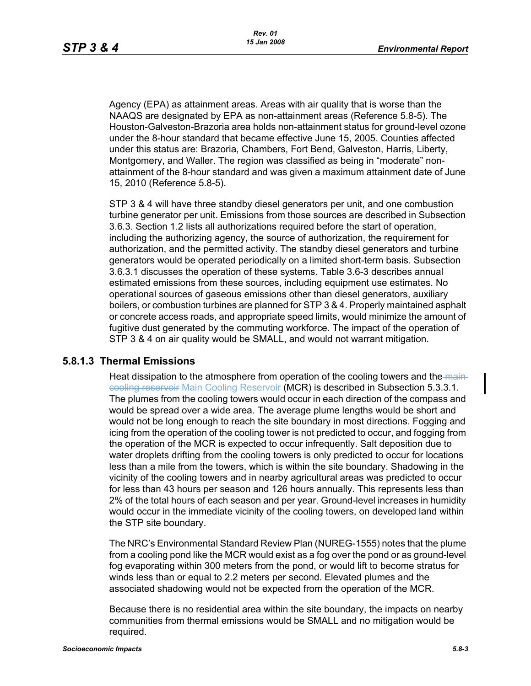Agency (EPA) as attainment areas. Areas with air quality that is worse than the NAAQS are designated by EPA as non-attainment areas (Reference 5.8-5). The Houston-Galveston-Brazoria area holds non-attainment status for ground-level ozone under the 8-hour standard that became effective June 15, 2005. Counties affected under this status are: Brazoria, Chambers, Fort Bend, Galveston, Harris, Liberty, Montgomery, and Waller. The region was classified as being in "moderate" nonattainment of the 8-hour standard and was given a maximum attainment date of June 15, 2010 (Reference 5.8-5).

STP 3 & 4 will have three standby diesel generators per unit, and one combustion turbine generator per unit. Emissions from those sources are described in Subsection 3.6.3. Section 1.2 lists all authorizations required before the start of operation, including the authorizing agency, the source of authorization, the requirement for authorization, and the permitted activity. The standby diesel generators and turbine generators would be operated periodically on a limited short-term basis. Subsection 3.6.3.1 discusses the operation of these systems. Table 3.6-3 describes annual estimated emissions from these sources, including equipment use estimates. No operational sources of gaseous emissions other than diesel generators, auxiliary boilers, or combustion turbines are planned for STP 3 & 4. Properly maintained asphalt or concrete access roads, and appropriate speed limits, would minimize the amount of fugitive dust generated by the commuting workforce. The impact of the operation of STP 3 & 4 on air quality would be SMALL, and would not warrant mitigation.

#### **5.8.1.3 Thermal Emissions**

Heat dissipation to the atmosphere from operation of the cooling towers and the maincooling reservoir Main Cooling Reservoir (MCR) is described in Subsection 5.3.3.1. The plumes from the cooling towers would occur in each direction of the compass and would be spread over a wide area. The average plume lengths would be short and would not be long enough to reach the site boundary in most directions. Fogging and icing from the operation of the cooling tower is not predicted to occur, and fogging from the operation of the MCR is expected to occur infrequently. Salt deposition due to water droplets drifting from the cooling towers is only predicted to occur for locations less than a mile from the towers, which is within the site boundary. Shadowing in the vicinity of the cooling towers and in nearby agricultural areas was predicted to occur for less than 43 hours per season and 126 hours annually. This represents less than 2% of the total hours of each season and per year. Ground-level increases in humidity would occur in the immediate vicinity of the cooling towers, on developed land within the STP site boundary.

The NRC's Environmental Standard Review Plan (NUREG-1555) notes that the plume from a cooling pond like the MCR would exist as a fog over the pond or as ground-level fog evaporating within 300 meters from the pond, or would lift to become stratus for winds less than or equal to 2.2 meters per second. Elevated plumes and the associated shadowing would not be expected from the operation of the MCR.

Because there is no residential area within the site boundary, the impacts on nearby communities from thermal emissions would be SMALL and no mitigation would be required.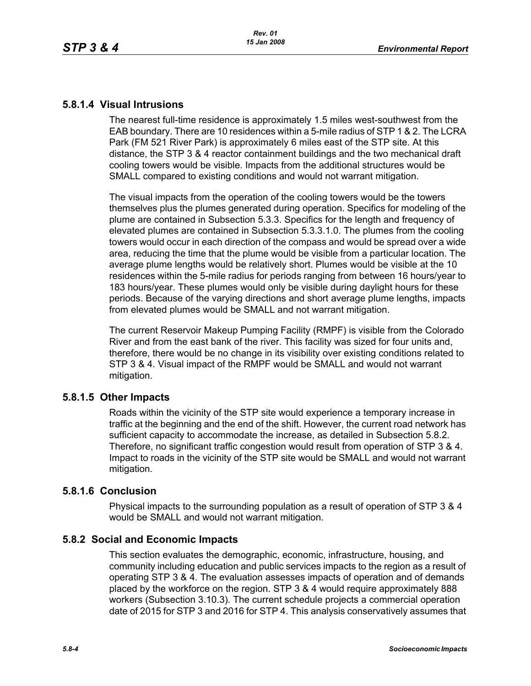# **5.8.1.4 Visual Intrusions**

The nearest full-time residence is approximately 1.5 miles west-southwest from the EAB boundary. There are 10 residences within a 5-mile radius of STP 1 & 2. The LCRA Park (FM 521 River Park) is approximately 6 miles east of the STP site. At this distance, the STP 3 & 4 reactor containment buildings and the two mechanical draft cooling towers would be visible. Impacts from the additional structures would be SMALL compared to existing conditions and would not warrant mitigation.

The visual impacts from the operation of the cooling towers would be the towers themselves plus the plumes generated during operation. Specifics for modeling of the plume are contained in Subsection 5.3.3. Specifics for the length and frequency of elevated plumes are contained in Subsection 5.3.3.1.0. The plumes from the cooling towers would occur in each direction of the compass and would be spread over a wide area, reducing the time that the plume would be visible from a particular location. The average plume lengths would be relatively short. Plumes would be visible at the 10 residences within the 5-mile radius for periods ranging from between 16 hours/year to 183 hours/year. These plumes would only be visible during daylight hours for these periods. Because of the varying directions and short average plume lengths, impacts from elevated plumes would be SMALL and not warrant mitigation.

The current Reservoir Makeup Pumping Facility (RMPF) is visible from the Colorado River and from the east bank of the river. This facility was sized for four units and, therefore, there would be no change in its visibility over existing conditions related to STP 3 & 4. Visual impact of the RMPF would be SMALL and would not warrant mitigation.

# **5.8.1.5 Other Impacts**

Roads within the vicinity of the STP site would experience a temporary increase in traffic at the beginning and the end of the shift. However, the current road network has sufficient capacity to accommodate the increase, as detailed in Subsection 5.8.2. Therefore, no significant traffic congestion would result from operation of STP 3 & 4. Impact to roads in the vicinity of the STP site would be SMALL and would not warrant mitigation.

# **5.8.1.6 Conclusion**

Physical impacts to the surrounding population as a result of operation of STP 3 & 4 would be SMALL and would not warrant mitigation.

# **5.8.2 Social and Economic Impacts**

This section evaluates the demographic, economic, infrastructure, housing, and community including education and public services impacts to the region as a result of operating STP 3 & 4. The evaluation assesses impacts of operation and of demands placed by the workforce on the region. STP 3 & 4 would require approximately 888 workers (Subsection 3.10.3). The current schedule projects a commercial operation date of 2015 for STP 3 and 2016 for STP 4. This analysis conservatively assumes that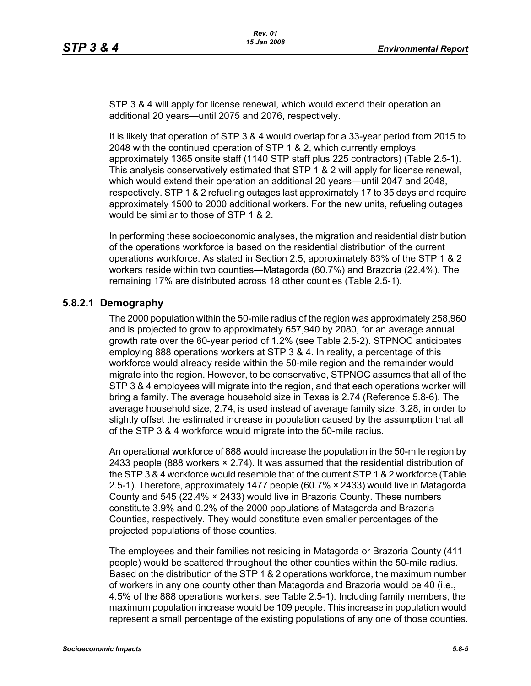STP 3 & 4 will apply for license renewal, which would extend their operation an additional 20 years—until 2075 and 2076, respectively.

It is likely that operation of STP 3 & 4 would overlap for a 33-year period from 2015 to 2048 with the continued operation of STP 1 & 2, which currently employs approximately 1365 onsite staff (1140 STP staff plus 225 contractors) (Table 2.5-1). This analysis conservatively estimated that STP 1 & 2 will apply for license renewal, which would extend their operation an additional 20 years—until 2047 and 2048, respectively. STP 1 & 2 refueling outages last approximately 17 to 35 days and require approximately 1500 to 2000 additional workers. For the new units, refueling outages would be similar to those of STP 1 & 2.

In performing these socioeconomic analyses, the migration and residential distribution of the operations workforce is based on the residential distribution of the current operations workforce. As stated in Section 2.5, approximately 83% of the STP 1 & 2 workers reside within two counties—Matagorda (60.7%) and Brazoria (22.4%). The remaining 17% are distributed across 18 other counties (Table 2.5-1).

# **5.8.2.1 Demography**

The 2000 population within the 50-mile radius of the region was approximately 258,960 and is projected to grow to approximately 657,940 by 2080, for an average annual growth rate over the 60-year period of 1.2% (see Table 2.5-2). STPNOC anticipates employing 888 operations workers at STP 3 & 4. In reality, a percentage of this workforce would already reside within the 50-mile region and the remainder would migrate into the region. However, to be conservative, STPNOC assumes that all of the STP 3 & 4 employees will migrate into the region, and that each operations worker will bring a family. The average household size in Texas is 2.74 (Reference 5.8-6). The average household size, 2.74, is used instead of average family size, 3.28, in order to slightly offset the estimated increase in population caused by the assumption that all of the STP 3 & 4 workforce would migrate into the 50-mile radius.

An operational workforce of 888 would increase the population in the 50-mile region by 2433 people (888 workers  $\times$  2.74). It was assumed that the residential distribution of [the STP 3 & 4 workforce would resemble that of the current STP 1 & 2 workforce \(Table](http://www.stats.bls.gov/)  2.5-1). Therefore, approximately 1477 people (60.7% × 2433) would live in Matagorda County and 545 (22.4% × 2433) would live in Brazoria County. These numbers constitute 3.9% and 0.2% of the 2000 populations of Matagorda and Brazoria Counties, respectively. They would constitute even smaller percentages of the projected populations of those counties.

The employees and their families not residing in Matagorda or Brazoria County (411 people) would be scattered throughout the other counties within the 50-mile radius. Based on the distribution of the STP 1 & 2 operations workforce, the maximum number of workers in any one county other than Matagorda and Brazoria would be 40 (i.e., 4.5% of the 888 operations workers, see Table 2.5-1). Including family members, the maximum population increase would be 109 people. This increase in population would represent a small percentage of the existing populations of any one of those counties.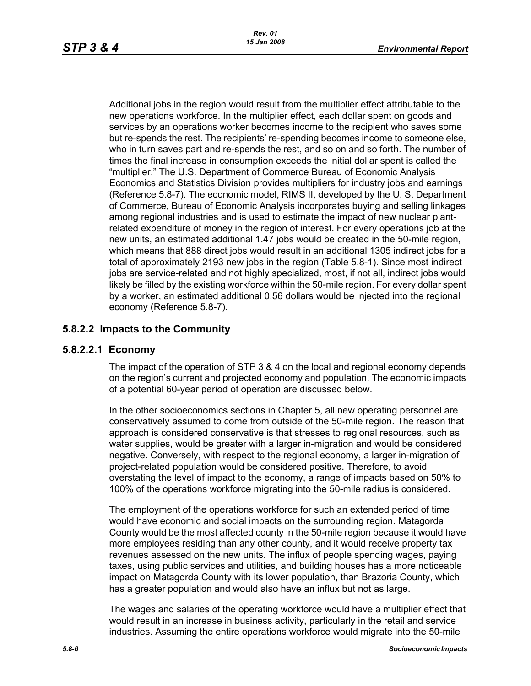Additional jobs in the region would result from the multiplier effect attributable to the new operations workforce. In the multiplier effect, each dollar spent on goods and services by an operations worker becomes income to the recipient who saves some but re-spends the rest. The recipients' re-spending becomes income to someone else, who in turn saves part and re-spends the rest, and so on and so forth. The number of times the final increase in consumption exceeds the initial dollar spent is called the "multiplier." The U.S. Department of Commerce Bureau of Economic Analysis Economics and Statistics Division provides multipliers for industry jobs and earnings (Reference 5.8-7). The economic model, RIMS II, developed by the U. S. Department of Commerce, Bureau of Economic Analysis incorporates buying and selling linkages among regional industries and is used to estimate the impact of new nuclear plantrelated expenditure of money in the region of interest. For every operations job at the new units, an estimated additional 1.47 jobs would be created in the 50-mile region, which means that 888 direct jobs would result in an additional 1305 indirect jobs for a total of approximately 2193 new jobs in the region (Table 5.8-1). Since most indirect iobs are service-related and not highly specialized, most, if not all, indirect jobs would likely be filled by the existing workforce within the 50-mile region. For every dollar spent by a worker, an estimated additional 0.56 dollars would be injected into the regional economy (Reference 5.8-7).

# **5.8.2.2 Impacts to the Community**

# **5.8.2.2.1 Economy**

The impact of the operation of STP 3 & 4 on the local and regional economy depends on the region's current and projected economy and population. The economic impacts of a potential 60-year period of operation are discussed below.

In the other socioeconomics sections in Chapter 5, all new operating personnel are conservatively assumed to come from outside of the 50-mile region. The reason that approach is considered conservative is that stresses to regional resources, such as water supplies, would be greater with a larger in-migration and would be considered negative. Conversely, with respect to the regional economy, a larger in-migration of project-related population would be considered positive. Therefore, to avoid overstating the level of impact to the economy, a range of impacts based on 50% to 100% of the operations workforce migrating into the 50-mile radius is considered.

The employment of the operations workforce for such an extended period of time would have economic and social impacts on the surrounding region. Matagorda County would be the most affected county in the 50-mile region because it would have more employees residing than any other county, and it would receive property tax revenues assessed on the new units. The influx of people spending wages, paying taxes, using public services and utilities, and building houses has a more noticeable impact on Matagorda County with its lower population, than Brazoria County, which has a greater population and would also have an influx but not as large.

The wages and salaries of the operating workforce would have a multiplier effect that would result in an increase in business activity, particularly in the retail and service industries. Assuming the entire operations workforce would migrate into the 50-mile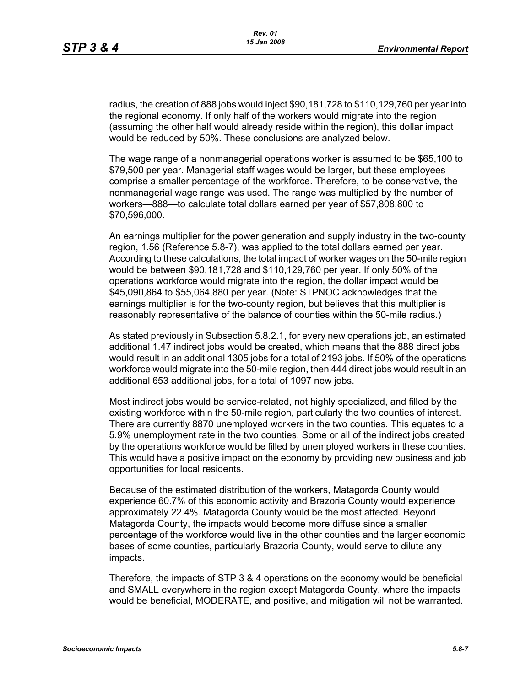radius, the creation of 888 jobs would inject \$90,181,728 to \$110,129,760 per year into the regional economy. If only half of the workers would migrate into the region (assuming the other half would already reside within the region), this dollar impact would be reduced by 50%. These conclusions are analyzed below.

The wage range of a nonmanagerial operations worker is assumed to be \$65,100 to \$79,500 per year. Managerial staff wages would be larger, but these employees comprise a smaller percentage of the workforce. Therefore, to be conservative, the nonmanagerial wage range was used. The range was multiplied by the number of workers—888—to calculate total dollars earned per year of \$57,808,800 to \$70,596,000.

An earnings multiplier for the power generation and supply industry in the two-county region, 1.56 (Reference 5.8-7), was applied to the total dollars earned per year. According to these calculations, the total impact of worker wages on the 50-mile region would be between \$90,181,728 and \$110,129,760 per year. If only 50% of the operations workforce would migrate into the region, the dollar impact would be \$45,090,864 to \$55,064,880 per year. (Note: STPNOC acknowledges that the earnings multiplier is for the two-county region, but believes that this multiplier is reasonably representative of the balance of counties within the 50-mile radius.)

As stated previously in Subsection 5.8.2.1, for every new operations job, an estimated additional 1.47 indirect jobs would be created, which means that the 888 direct jobs would result in an additional 1305 jobs for a total of 2193 jobs. If 50% of the operations workforce would migrate into the 50-mile region, then 444 direct jobs would result in an additional 653 additional jobs, for a total of 1097 new jobs.

Most indirect jobs would be service-related, not highly specialized, and filled by the existing workforce within the 50-mile region, particularly the two counties of interest. There are currently 8870 unemployed workers in the two counties. This equates to a 5.9% unemployment rate in the two counties. Some or all of the indirect jobs created by the operations workforce would be filled by unemployed workers in these counties. This would have a positive impact on the economy by providing new business and job opportunities for local residents.

Because of the estimated distribution of the workers, Matagorda County would experience 60.7% of this economic activity and Brazoria County would experience approximately 22.4%. Matagorda County would be the most affected. Beyond Matagorda County, the impacts would become more diffuse since a smaller percentage of the workforce would live in the other counties and the larger economic bases of some counties, particularly Brazoria County, would serve to dilute any impacts.

Therefore, the impacts of STP 3 & 4 operations on the economy would be beneficial and SMALL everywhere in the region except Matagorda County, where the impacts would be beneficial, MODERATE, and positive, and mitigation will not be warranted.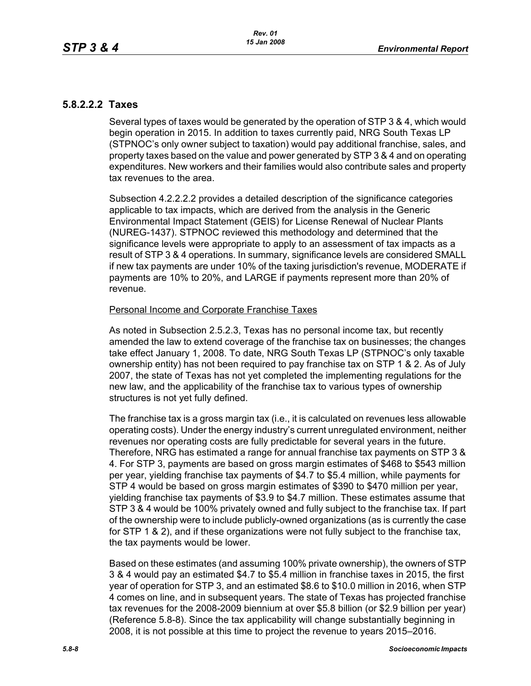# **5.8.2.2.2 Taxes**

Several types of taxes would be generated by the operation of STP 3 & 4, which would begin operation in 2015. In addition to taxes currently paid, NRG South Texas LP (STPNOC's only owner subject to taxation) would pay additional franchise, sales, and property taxes based on the value and power generated by STP 3 & 4 and on operating expenditures. New workers and their families would also contribute sales and property tax revenues to the area.

Subsection 4.2.2.2.2 provides a detailed description of the significance categories applicable to tax impacts, which are derived from the analysis in the Generic Environmental Impact Statement (GEIS) for License Renewal of Nuclear Plants (NUREG-1437). STPNOC reviewed this methodology and determined that the significance levels were appropriate to apply to an assessment of tax impacts as a result of STP 3 & 4 operations. In summary, significance levels are considered SMALL if new tax payments are under 10% of the taxing jurisdiction's revenue, MODERATE if payments are 10% to 20%, and LARGE if payments represent more than 20% of revenue.

#### Personal Income and Corporate Franchise Taxes

As noted in Subsection 2.5.2.3, Texas has no personal income tax, but recently amended the law to extend coverage of the franchise tax on businesses; the changes take effect January 1, 2008. To date, NRG South Texas LP (STPNOC's only taxable ownership entity) has not been required to pay franchise tax on STP 1 & 2. As of July 2007, the state of Texas has not yet completed the implementing regulations for the new law, and the applicability of the franchise tax to various types of ownership structures is not yet fully defined.

The franchise tax is a gross margin tax (i.e., it is calculated on revenues less allowable operating costs). Under the energy industry's current unregulated environment, neither revenues nor operating costs are fully predictable for several years in the future. Therefore, NRG has estimated a range for annual franchise tax payments on STP 3 & 4. For STP 3, payments are based on gross margin estimates of \$468 to \$543 million per year, yielding franchise tax payments of \$4.7 to \$5.4 million, while payments for STP 4 would be based on gross margin estimates of \$390 to \$470 million per year, yielding franchise tax payments of \$3.9 to \$4.7 million. These estimates assume that STP 3 & 4 would be 100% privately owned and fully subject to the franchise tax. If part of the ownership were to include publicly-owned organizations (as is currently the case for STP 1 & 2), and if these organizations were not fully subject to the franchise tax, the tax payments would be lower.

Based on these estimates (and assuming 100% private ownership), the owners of STP 3 & 4 would pay an estimated \$4.7 to \$5.4 million in franchise taxes in 2015, the first year of operation for STP 3, and an estimated \$8.6 to \$10.0 million in 2016, when STP 4 comes on line, and in subsequent years. The state of Texas has projected franchise tax revenues for the 2008-2009 biennium at over \$5.8 billion (or \$2.9 billion per year) (Reference 5.8-8). Since the tax applicability will change substantially beginning in 2008, it is not possible at this time to project the revenue to years 2015–2016.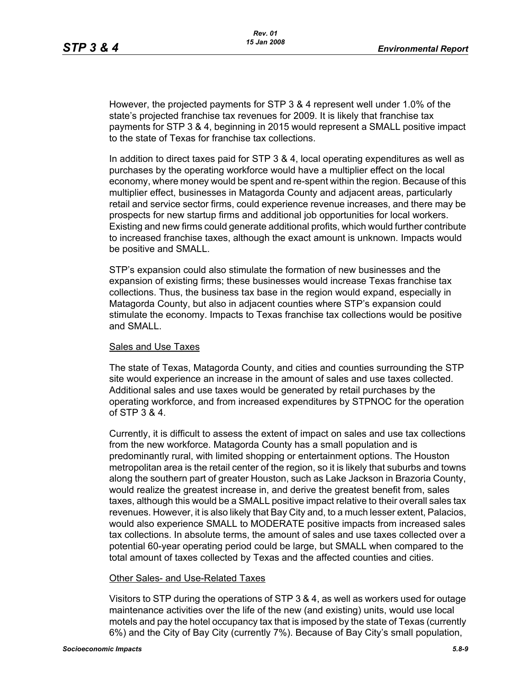However, the projected payments for STP 3 & 4 represent well under 1.0% of the state's projected franchise tax revenues for 2009. It is likely that franchise tax payments for STP 3 & 4, beginning in 2015 would represent a SMALL positive impact to the state of Texas for franchise tax collections.

In addition to direct taxes paid for STP 3 & 4, local operating expenditures as well as purchases by the operating workforce would have a multiplier effect on the local economy, where money would be spent and re-spent within the region. Because of this multiplier effect, businesses in Matagorda County and adjacent areas, particularly retail and service sector firms, could experience revenue increases, and there may be prospects for new startup firms and additional job opportunities for local workers. Existing and new firms could generate additional profits, which would further contribute to increased franchise taxes, although the exact amount is unknown. Impacts would be positive and SMALL.

STP's expansion could also stimulate the formation of new businesses and the expansion of existing firms; these businesses would increase Texas franchise tax collections. Thus, the business tax base in the region would expand, especially in Matagorda County, but also in adjacent counties where STP's expansion could stimulate the economy. Impacts to Texas franchise tax collections would be positive and SMALL.

#### Sales and Use Taxes

The state of Texas, Matagorda County, and cities and counties surrounding the STP site would experience an increase in the amount of sales and use taxes collected. Additional sales and use taxes would be generated by retail purchases by the operating workforce, and from increased expenditures by STPNOC for the operation of STP 3 & 4.

Currently, it is difficult to assess the extent of impact on sales and use tax collections from the new workforce. Matagorda County has a small population and is predominantly rural, with limited shopping or entertainment options. The Houston metropolitan area is the retail center of the region, so it is likely that suburbs and towns along the southern part of greater Houston, such as Lake Jackson in Brazoria County, would realize the greatest increase in, and derive the greatest benefit from, sales taxes, although this would be a SMALL positive impact relative to their overall sales tax revenues. However, it is also likely that Bay City and, to a much lesser extent, Palacios, would also experience SMALL to MODERATE positive impacts from increased sales tax collections. In absolute terms, the amount of sales and use taxes collected over a potential 60-year operating period could be large, but SMALL when compared to the total amount of taxes collected by Texas and the affected counties and cities.

#### Other Sales- and Use-Related Taxes

Visitors to STP during the operations of STP 3 & 4, as well as workers used for outage maintenance activities over the life of the new (and existing) units, would use local motels and pay the hotel occupancy tax that is imposed by the state of Texas (currently 6%) and the City of Bay City (currently 7%). Because of Bay City's small population,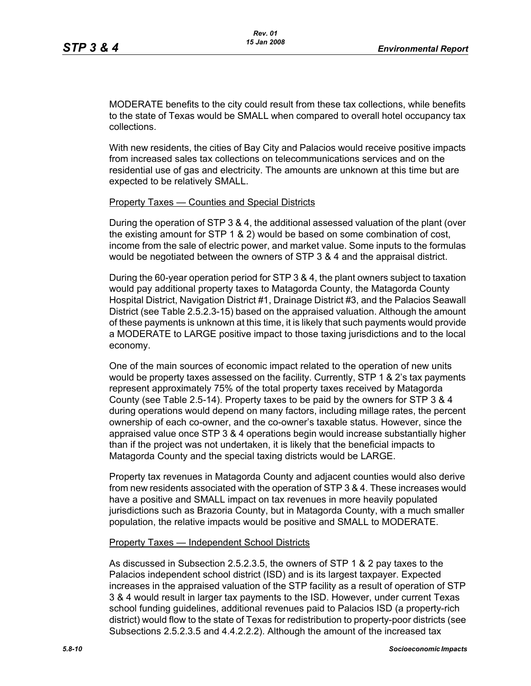MODERATE benefits to the city could result from these tax collections, while benefits to the state of Texas would be SMALL when compared to overall hotel occupancy tax collections.

With new residents, the cities of Bay City and Palacios would receive positive impacts from increased sales tax collections on telecommunications services and on the residential use of gas and electricity. The amounts are unknown at this time but are expected to be relatively SMALL.

#### Property Taxes — Counties and Special Districts

During the operation of STP 3 & 4, the additional assessed valuation of the plant (over the existing amount for STP 1 & 2) would be based on some combination of cost, income from the sale of electric power, and market value. Some inputs to the formulas would be negotiated between the owners of STP 3 & 4 and the appraisal district.

During the 60-year operation period for STP 3 & 4, the plant owners subject to taxation would pay additional property taxes to Matagorda County, the Matagorda County Hospital District, Navigation District #1, Drainage District #3, and the Palacios Seawall District (see Table 2.5.2.3-15) based on the appraised valuation. Although the amount of these payments is unknown at this time, it is likely that such payments would provide a MODERATE to LARGE positive impact to those taxing jurisdictions and to the local economy.

One of the main sources of economic impact related to the operation of new units would be property taxes assessed on the facility. Currently, STP 1 & 2's tax payments represent approximately 75% of the total property taxes received by Matagorda County (see Table 2.5-14). Property taxes to be paid by the owners for STP 3 & 4 during operations would depend on many factors, including millage rates, the percent ownership of each co-owner, and the co-owner's taxable status. However, since the appraised value once STP 3 & 4 operations begin would increase substantially higher than if the project was not undertaken, it is likely that the beneficial impacts to Matagorda County and the special taxing districts would be LARGE.

Property tax revenues in Matagorda County and adjacent counties would also derive from new residents associated with the operation of STP 3 & 4. These increases would have a positive and SMALL impact on tax revenues in more heavily populated jurisdictions such as Brazoria County, but in Matagorda County, with a much smaller population, the relative impacts would be positive and SMALL to MODERATE.

#### Property Taxes — Independent School Districts

As discussed in Subsection 2.5.2.3.5, the owners of STP 1 & 2 pay taxes to the Palacios independent school district (ISD) and is its largest taxpayer. Expected increases in the appraised valuation of the STP facility as a result of operation of STP 3 & 4 would result in larger tax payments to the ISD. However, under current Texas school funding guidelines, additional revenues paid to Palacios ISD (a property-rich district) would flow to the state of Texas for redistribution to property-poor districts (see Subsections 2.5.2.3.5 and 4.4.2.2.2). Although the amount of the increased tax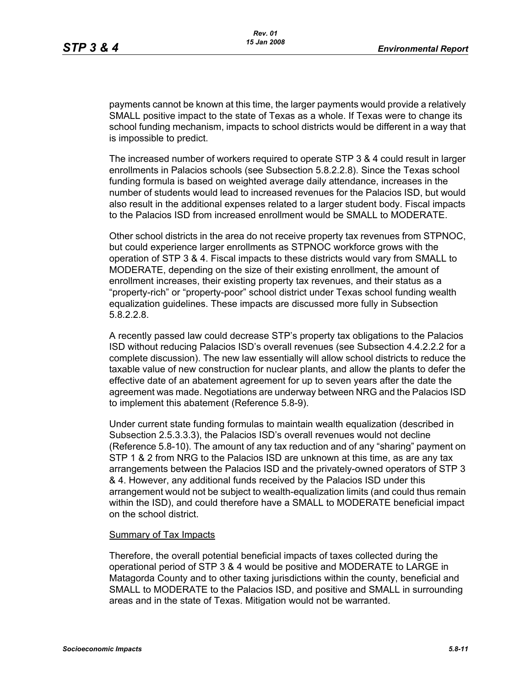payments cannot be known at this time, the larger payments would provide a relatively SMALL positive impact to the state of Texas as a whole. If Texas were to change its school funding mechanism, impacts to school districts would be different in a way that is impossible to predict.

The increased number of workers required to operate STP 3 & 4 could result in larger enrollments in Palacios schools (see Subsection 5.8.2.2.8). Since the Texas school funding formula is based on weighted average daily attendance, increases in the number of students would lead to increased revenues for the Palacios ISD, but would also result in the additional expenses related to a larger student body. Fiscal impacts to the Palacios ISD from increased enrollment would be SMALL to MODERATE.

Other school districts in the area do not receive property tax revenues from STPNOC, but could experience larger enrollments as STPNOC workforce grows with the operation of STP 3 & 4. Fiscal impacts to these districts would vary from SMALL to MODERATE, depending on the size of their existing enrollment, the amount of enrollment increases, their existing property tax revenues, and their status as a "property-rich" or "property-poor" school district under Texas school funding wealth equalization guidelines. These impacts are discussed more fully in Subsection 5.8.2.2.8.

A recently passed law could decrease STP's property tax obligations to the Palacios ISD without reducing Palacios ISD's overall revenues (see Subsection 4.4.2.2.2 for a complete discussion). The new law essentially will allow school districts to reduce the taxable value of new construction for nuclear plants, and allow the plants to defer the effective date of an abatement agreement for up to seven years after the date the agreement was made. Negotiations are underway between NRG and the Palacios ISD to implement this abatement (Reference 5.8-9).

Under current state funding formulas to maintain wealth equalization (described in Subsection 2.5.3.3.3), the Palacios ISD's overall revenues would not decline (Reference 5.8-10). The amount of any tax reduction and of any "sharing" payment on STP 1 & 2 from NRG to the Palacios ISD are unknown at this time, as are any tax arrangements between the Palacios ISD and the privately-owned operators of STP 3 & 4. However, any additional funds received by the Palacios ISD under this arrangement would not be subject to wealth-equalization limits (and could thus remain within the ISD), and could therefore have a SMALL to MODERATE beneficial impact on the school district.

#### Summary of Tax Impacts

Therefore, the overall potential beneficial impacts of taxes collected during the operational period of STP 3 & 4 would be positive and MODERATE to LARGE in Matagorda County and to other taxing jurisdictions within the county, beneficial and SMALL to MODERATE to the Palacios ISD, and positive and SMALL in surrounding areas and in the state of Texas. Mitigation would not be warranted.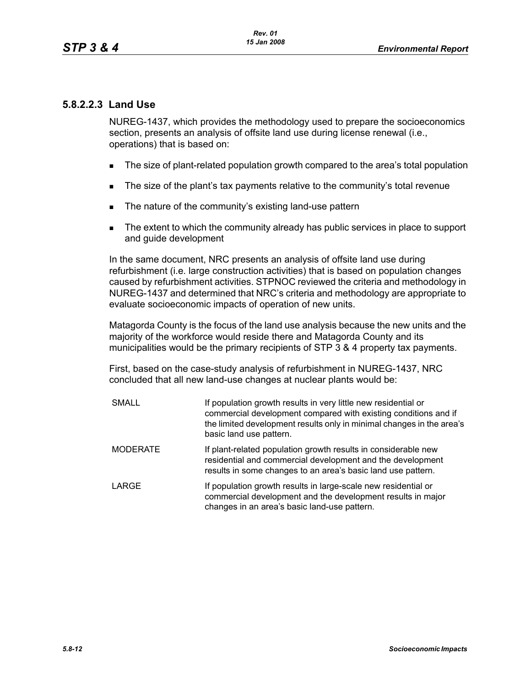# **5.8.2.2.3 Land Use**

NUREG-1437, which provides the methodology used to prepare the socioeconomics section, presents an analysis of offsite land use during license renewal (i.e., operations) that is based on:

- The size of plant-related population growth compared to the area's total population
- The size of the plant's tax payments relative to the community's total revenue
- The nature of the community's existing land-use pattern
- The extent to which the community already has public services in place to support and guide development

In the same document, NRC presents an analysis of offsite land use during refurbishment (i.e. large construction activities) that is based on population changes caused by refurbishment activities. STPNOC reviewed the criteria and methodology in NUREG-1437 and determined that NRC's criteria and methodology are appropriate to evaluate socioeconomic impacts of operation of new units.

Matagorda County is the focus of the land use analysis because the new units and the majority of the workforce would reside there and Matagorda County and its municipalities would be the primary recipients of STP 3 & 4 property tax payments.

First, based on the case-study analysis of refurbishment in NUREG-1437, NRC concluded that all new land-use changes at nuclear plants would be:

| <b>SMALL</b>    | If population growth results in very little new residential or<br>commercial development compared with existing conditions and if<br>the limited development results only in minimal changes in the area's<br>basic land use pattern. |
|-----------------|---------------------------------------------------------------------------------------------------------------------------------------------------------------------------------------------------------------------------------------|
| <b>MODERATE</b> | If plant-related population growth results in considerable new<br>residential and commercial development and the development<br>results in some changes to an area's basic land use pattern.                                          |
| <b>LARGE</b>    | If population growth results in large-scale new residential or<br>commercial development and the development results in major<br>changes in an area's basic land-use pattern.                                                         |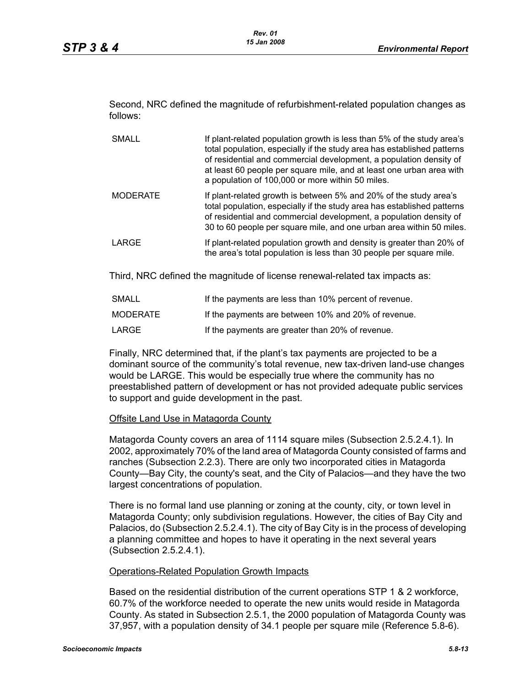Second, NRC defined the magnitude of refurbishment-related population changes as follows:

- SMALL If plant-related population growth is less than 5% of the study area's total population, especially if the study area has established patterns of residential and commercial development, a population density of at least 60 people per square mile, and at least one urban area with a population of 100,000 or more within 50 miles. MODERATE If plant-related growth is between 5% and 20% of the study area's total population, especially if the study area has established patterns of residential and commercial development, a population density of 30 to 60 people per square mile, and one urban area within 50 miles.
- LARGE **If plant-related population growth and density is greater than 20% of** the area's total population is less than 30 people per square mile.

Third, NRC defined the magnitude of license renewal-related tax impacts as:

| SMALL    | If the payments are less than 10% percent of revenue. |
|----------|-------------------------------------------------------|
| MODERATE | If the payments are between 10% and 20% of revenue.   |
| LARGE    | If the payments are greater than 20% of revenue.      |

Finally, NRC determined that, if the plant's tax payments are projected to be a dominant source of the community's total revenue, new tax-driven land-use changes would be LARGE. This would be especially true where the community has no preestablished pattern of development or has not provided adequate public services to support and guide development in the past.

#### Offsite Land Use in Matagorda County

Matagorda County covers an area of 1114 square miles (Subsection 2.5.2.4.1). In 2002, approximately 70% of the land area of Matagorda County consisted of farms and ranches (Subsection 2.2.3). There are only two incorporated cities in Matagorda County—Bay City, the county's seat, and the City of Palacios—and they have the two largest concentrations of population.

There is no formal land use planning or zoning at the county, city, or town level in Matagorda County; only subdivision regulations. However, the cities of Bay City and Palacios, do (Subsection 2.5.2.4.1). The city of Bay City is in the process of developing a planning committee and hopes to have it operating in the next several years (Subsection 2.5.2.4.1).

#### Operations-Related Population Growth Impacts

Based on the residential distribution of the current operations STP 1 & 2 workforce, 60.7% of the workforce needed to operate the new units would reside in Matagorda County. As stated in Subsection 2.5.1, the 2000 population of Matagorda County was 37,957, with a population density of 34.1 people per square mile (Reference 5.8-6).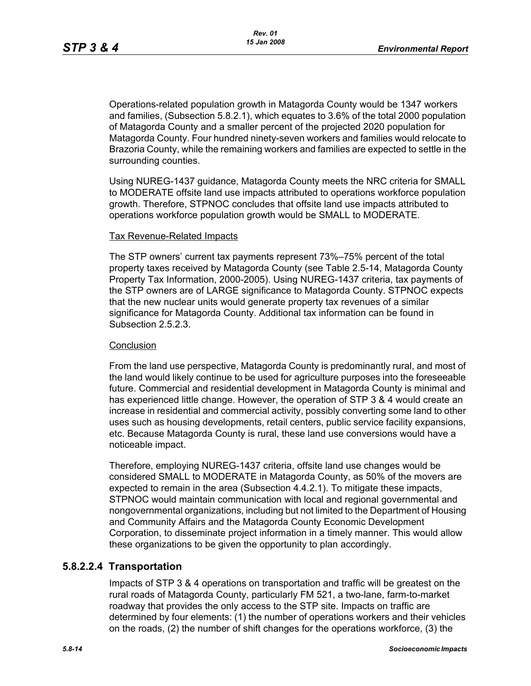Operations-related population growth in Matagorda County would be 1347 workers and families, (Subsection 5.8.2.1), which equates to 3.6% of the total 2000 population of Matagorda County and a smaller percent of the projected 2020 population for Matagorda County. Four hundred ninety-seven workers and families would relocate to Brazoria County, while the remaining workers and families are expected to settle in the surrounding counties.

Using NUREG-1437 guidance, Matagorda County meets the NRC criteria for SMALL to MODERATE offsite land use impacts attributed to operations workforce population growth. Therefore, STPNOC concludes that offsite land use impacts attributed to operations workforce population growth would be SMALL to MODERATE.

#### Tax Revenue-Related Impacts

The STP owners' current tax payments represent 73%–75% percent of the total property taxes received by Matagorda County (see Table 2.5-14, Matagorda County Property Tax Information, 2000-2005). Using NUREG-1437 criteria, tax payments of the STP owners are of LARGE significance to Matagorda County. STPNOC expects that the new nuclear units would generate property tax revenues of a similar significance for Matagorda County. Additional tax information can be found in Subsection 2.5.2.3.

#### **Conclusion**

From the land use perspective, Matagorda County is predominantly rural, and most of the land would likely continue to be used for agriculture purposes into the foreseeable future. Commercial and residential development in Matagorda County is minimal and has experienced little change. However, the operation of STP 3 & 4 would create an increase in residential and commercial activity, possibly converting some land to other uses such as housing developments, retail centers, public service facility expansions, etc. Because Matagorda County is rural, these land use conversions would have a noticeable impact.

Therefore, employing NUREG-1437 criteria, offsite land use changes would be considered SMALL to MODERATE in Matagorda County, as 50% of the movers are expected to remain in the area (Subsection 4.4.2.1). To mitigate these impacts, STPNOC would maintain communication with local and regional governmental and nongovernmental organizations, including but not limited to the Department of Housing and Community Affairs and the Matagorda County Economic Development Corporation, to disseminate project information in a timely manner. This would allow these organizations to be given the opportunity to plan accordingly.

# **5.8.2.2.4 Transportation**

Impacts of STP 3 & 4 operations on transportation and traffic will be greatest on the rural roads of Matagorda County, particularly FM 521, a two-lane, farm-to-market roadway that provides the only access to the STP site. Impacts on traffic are determined by four elements: (1) the number of operations workers and their vehicles on the roads, (2) the number of shift changes for the operations workforce, (3) the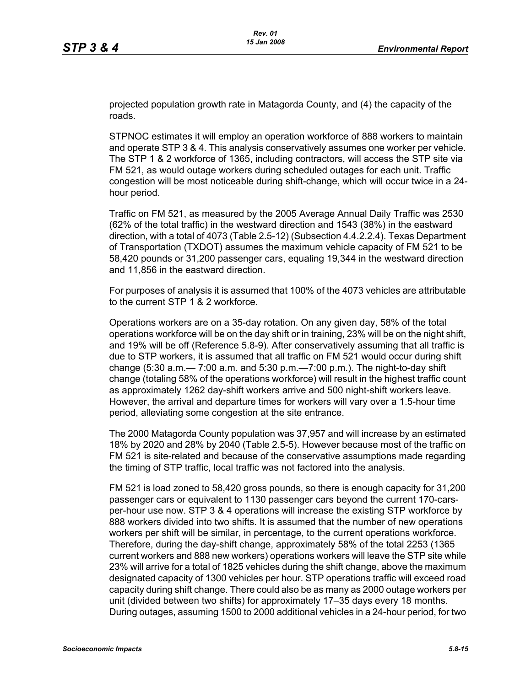projected population growth rate in Matagorda County, and (4) the capacity of the roads.

STPNOC estimates it will employ an operation workforce of 888 workers to maintain and operate STP 3 & 4. This analysis conservatively assumes one worker per vehicle. The STP 1 & 2 workforce of 1365, including contractors, will access the STP site via FM 521, as would outage workers during scheduled outages for each unit. Traffic congestion will be most noticeable during shift-change, which will occur twice in a 24 hour period.

Traffic on FM 521, as measured by the 2005 Average Annual Daily Traffic was 2530 (62% of the total traffic) in the westward direction and 1543 (38%) in the eastward direction, with a total of 4073 (Table 2.5-12) (Subsection 4.4.2.2.4). Texas Department of Transportation (TXDOT) assumes the maximum vehicle capacity of FM 521 to be 58,420 pounds or 31,200 passenger cars, equaling 19,344 in the westward direction and 11,856 in the eastward direction.

For purposes of analysis it is assumed that 100% of the 4073 vehicles are attributable to the current STP 1 & 2 workforce.

Operations workers are on a 35-day rotation. On any given day, 58% of the total operations workforce will be on the day shift or in training, 23% will be on the night shift, and 19% will be off (Reference 5.8-9). After conservatively assuming that all traffic is due to STP workers, it is assumed that all traffic on FM 521 would occur during shift change (5:30 a.m.— 7:00 a.m. and 5:30 p.m.—7:00 p.m.). The night-to-day shift change (totaling 58% of the operations workforce) will result in the highest traffic count as approximately 1262 day-shift workers arrive and 500 night-shift workers leave. However, the arrival and departure times for workers will vary over a 1.5-hour time period, alleviating some congestion at the site entrance.

The 2000 Matagorda County population was 37,957 and will increase by an estimated 18% by 2020 and 28% by 2040 (Table 2.5-5). However because most of the traffic on FM 521 is site-related and because of the conservative assumptions made regarding the timing of STP traffic, local traffic was not factored into the analysis.

FM 521 is load zoned to 58,420 gross pounds, so there is enough capacity for 31,200 passenger cars or equivalent to 1130 passenger cars beyond the current 170-carsper-hour use now. STP 3 & 4 operations will increase the existing STP workforce by 888 workers divided into two shifts. It is assumed that the number of new operations workers per shift will be similar, in percentage, to the current operations workforce. Therefore, during the day-shift change, approximately 58% of the total 2253 (1365 current workers and 888 new workers) operations workers will leave the STP site while 23% will arrive for a total of 1825 vehicles during the shift change, above the maximum designated capacity of 1300 vehicles per hour. STP operations traffic will exceed road capacity during shift change. There could also be as many as 2000 outage workers per unit (divided between two shifts) for approximately 17–35 days every 18 months. During outages, assuming 1500 to 2000 additional vehicles in a 24-hour period, for two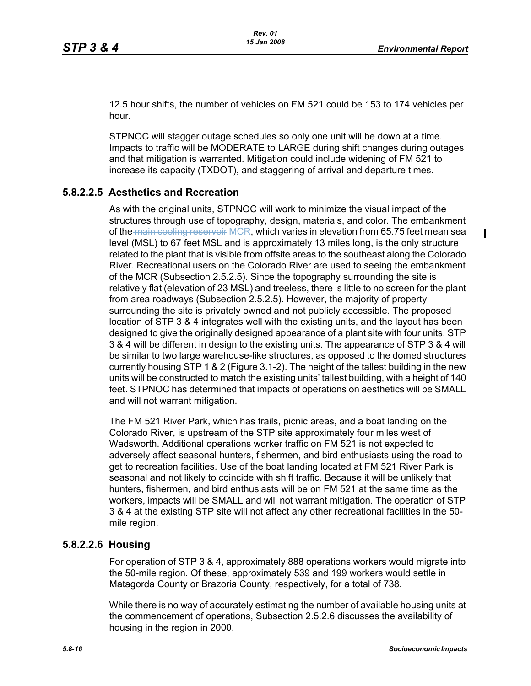$\blacksquare$ 

12.5 hour shifts, the number of vehicles on FM 521 could be 153 to 174 vehicles per hour.

STPNOC will stagger outage schedules so only one unit will be down at a time. Impacts to traffic will be MODERATE to LARGE during shift changes during outages and that mitigation is warranted. Mitigation could include widening of FM 521 to increase its capacity (TXDOT), and staggering of arrival and departure times.

# **5.8.2.2.5 Aesthetics and Recreation**

As with the original units, STPNOC will work to minimize the visual impact of the structures through use of topography, design, materials, and color. The embankment of the main cooling reservoir MCR, which varies in elevation from 65.75 feet mean sea level (MSL) to 67 feet MSL and is approximately 13 miles long, is the only structure related to the plant that is visible from offsite areas to the southeast along the Colorado River. Recreational users on the Colorado River are used to seeing the embankment of the MCR (Subsection 2.5.2.5). Since the topography surrounding the site is relatively flat (elevation of 23 MSL) and treeless, there is little to no screen for the plant from area roadways (Subsection 2.5.2.5). However, the majority of property surrounding the site is privately owned and not publicly accessible. The proposed location of STP 3 & 4 integrates well with the existing units, and the layout has been designed to give the originally designed appearance of a plant site with four units. STP 3 & 4 will be different in design to the existing units. The appearance of STP 3 & 4 will be similar to two large warehouse-like structures, as opposed to the domed structures currently housing STP 1 & 2 (Figure 3.1-2). The height of the tallest building in the new units will be constructed to match the existing units' tallest building, with a height of 140 feet. STPNOC has determined that impacts of operations on aesthetics will be SMALL and will not warrant mitigation.

The FM 521 River Park, which has trails, picnic areas, and a boat landing on the Colorado River, is upstream of the STP site approximately four miles west of Wadsworth. Additional operations worker traffic on FM 521 is not expected to adversely affect seasonal hunters, fishermen, and bird enthusiasts using the road to get to recreation facilities. Use of the boat landing located at FM 521 River Park is seasonal and not likely to coincide with shift traffic. Because it will be unlikely that hunters, fishermen, and bird enthusiasts will be on FM 521 at the same time as the workers, impacts will be SMALL and will not warrant mitigation. The operation of STP 3 & 4 at the existing STP site will not affect any other recreational facilities in the 50 mile region.

#### **5.8.2.2.6 Housing**

For operation of STP 3 & 4, approximately 888 operations workers would migrate into the 50-mile region. Of these, approximately 539 and 199 workers would settle in Matagorda County or Brazoria County, respectively, for a total of 738.

While there is no way of accurately estimating the number of available housing units at the commencement of operations, Subsection 2.5.2.6 discusses the availability of housing in the region in 2000.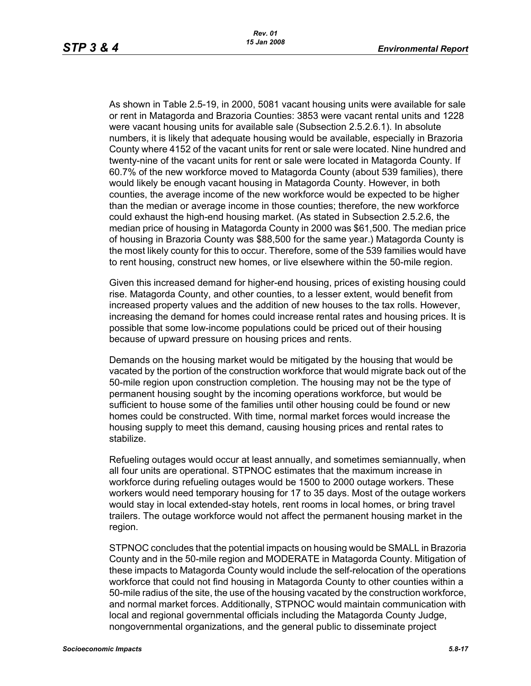As shown in Table 2.5-19, in 2000, 5081 vacant housing units were available for sale or rent in Matagorda and Brazoria Counties: 3853 were vacant rental units and 1228 were vacant housing units for available sale (Subsection 2.5.2.6.1). In absolute numbers, it is likely that adequate housing would be available, especially in Brazoria County where 4152 of the vacant units for rent or sale were located. Nine hundred and twenty-nine of the vacant units for rent or sale were located in Matagorda County. If 60.7% of the new workforce moved to Matagorda County (about 539 families), there would likely be enough vacant housing in Matagorda County. However, in both counties, the average income of the new workforce would be expected to be higher than the median or average income in those counties; therefore, the new workforce could exhaust the high-end housing market. (As stated in Subsection 2.5.2.6, the median price of housing in Matagorda County in 2000 was \$61,500. The median price of housing in Brazoria County was \$88,500 for the same year.) Matagorda County is the most likely county for this to occur. Therefore, some of the 539 families would have to rent housing, construct new homes, or live elsewhere within the 50-mile region.

Given this increased demand for higher-end housing, prices of existing housing could rise. Matagorda County, and other counties, to a lesser extent, would benefit from increased property values and the addition of new houses to the tax rolls. However, increasing the demand for homes could increase rental rates and housing prices. It is possible that some low-income populations could be priced out of their housing because of upward pressure on housing prices and rents.

Demands on the housing market would be mitigated by the housing that would be vacated by the portion of the construction workforce that would migrate back out of the 50-mile region upon construction completion. The housing may not be the type of permanent housing sought by the incoming operations workforce, but would be sufficient to house some of the families until other housing could be found or new homes could be constructed. With time, normal market forces would increase the housing supply to meet this demand, causing housing prices and rental rates to stabilize.

Refueling outages would occur at least annually, and sometimes semiannually, when all four units are operational. STPNOC estimates that the maximum increase in workforce during refueling outages would be 1500 to 2000 outage workers. These workers would need temporary housing for 17 to 35 days. Most of the outage workers would stay in local extended-stay hotels, rent rooms in local homes, or bring travel trailers. The outage workforce would not affect the permanent housing market in the region.

STPNOC concludes that the potential impacts on housing would be SMALL in Brazoria County and in the 50-mile region and MODERATE in Matagorda County. Mitigation of these impacts to Matagorda County would include the self-relocation of the operations workforce that could not find housing in Matagorda County to other counties within a 50-mile radius of the site, the use of the housing vacated by the construction workforce, and normal market forces. Additionally, STPNOC would maintain communication with local and regional governmental officials including the Matagorda County Judge, nongovernmental organizations, and the general public to disseminate project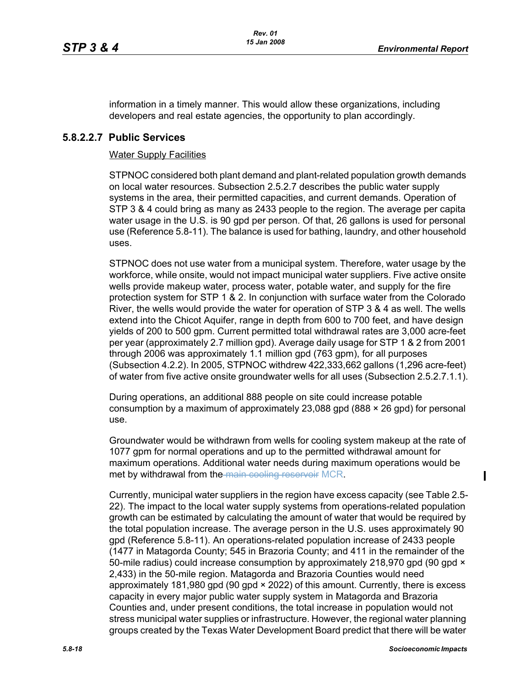information in a timely manner. This would allow these organizations, including developers and real estate agencies, the opportunity to plan accordingly.

## **5.8.2.2.7 Public Services**

#### Water Supply Facilities

STPNOC considered both plant demand and plant-related population growth demands on local water resources. Subsection 2.5.2.7 describes the public water supply systems in the area, their permitted capacities, and current demands. Operation of STP 3 & 4 could bring as many as 2433 people to the region. The average per capita water usage in the U.S. is 90 gpd per person. Of that, 26 gallons is used for personal use (Reference 5.8-11). The balance is used for bathing, laundry, and other household uses.

STPNOC does not use water from a municipal system. Therefore, water usage by the workforce, while onsite, would not impact municipal water suppliers. Five active onsite wells provide makeup water, process water, potable water, and supply for the fire protection system for STP 1 & 2. In conjunction with surface water from the Colorado River, the wells would provide the water for operation of STP 3 & 4 as well. The wells extend into the Chicot Aquifer, range in depth from 600 to 700 feet, and have design yields of 200 to 500 gpm. Current permitted total withdrawal rates are 3,000 acre-feet per year (approximately 2.7 million gpd). Average daily usage for STP 1 & 2 from 2001 through 2006 was approximately 1.1 million gpd (763 gpm), for all purposes (Subsection 4.2.2). In 2005, STPNOC withdrew 422,333,662 gallons (1,296 acre-feet) of water from five active onsite groundwater wells for all uses (Subsection 2.5.2.7.1.1).

During operations, an additional 888 people on site could increase potable consumption by a maximum of approximately 23,088 gpd (888  $\times$  26 gpd) for personal use.

Groundwater would be withdrawn from wells for cooling system makeup at the rate of 1077 gpm for normal operations and up to the permitted withdrawal amount for maximum operations. Additional water needs during maximum operations would be met by withdrawal from the main cooling reservoir MCR.

Currently, municipal water suppliers in the region have excess capacity (see Table 2.5- 22). The impact to the local water supply systems from operations-related population growth can be estimated by calculating the amount of water that would be required by the total population increase. The average person in the U.S. uses approximately 90 gpd (Reference 5.8-11). An operations-related population increase of 2433 people (1477 in Matagorda County; 545 in Brazoria County; and 411 in the remainder of the 50-mile radius) could increase consumption by approximately 218,970 gpd (90 gpd  $\times$ 2,433) in the 50-mile region. Matagorda and Brazoria Counties would need approximately 181,980 gpd (90 gpd × 2022) of this amount. Currently, there is excess capacity in every major public water supply system in Matagorda and Brazoria Counties and, under present conditions, the total increase in population would not stress municipal water supplies or infrastructure. However, the regional water planning groups created by the Texas Water Development Board predict that there will be water

 $\mathbf I$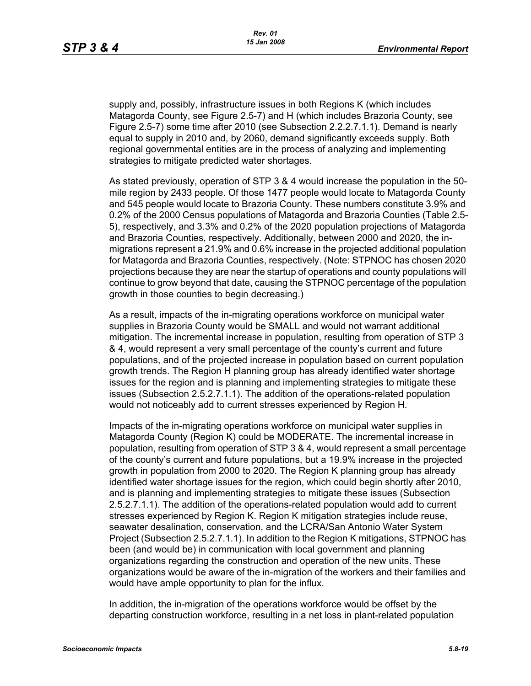supply and, possibly, infrastructure issues in both Regions K (which includes Matagorda County, see Figure 2.5-7) and H (which includes Brazoria County, see Figure 2.5-7) some time after 2010 (see Subsection 2.2.2.7.1.1). Demand is nearly equal to supply in 2010 and, by 2060, demand significantly exceeds supply. Both regional governmental entities are in the process of analyzing and implementing strategies to mitigate predicted water shortages.

As stated previously, operation of STP 3 & 4 would increase the population in the 50 mile region by 2433 people. Of those 1477 people would locate to Matagorda County and 545 people would locate to Brazoria County. These numbers constitute 3.9% and 0.2% of the 2000 Census populations of Matagorda and Brazoria Counties (Table 2.5- 5), respectively, and 3.3% and 0.2% of the 2020 population projections of Matagorda and Brazoria Counties, respectively. Additionally, between 2000 and 2020, the inmigrations represent a 21.9% and 0.6% increase in the projected additional population for Matagorda and Brazoria Counties, respectively. (Note: STPNOC has chosen 2020 projections because they are near the startup of operations and county populations will continue to grow beyond that date, causing the STPNOC percentage of the population growth in those counties to begin decreasing.)

As a result, impacts of the in-migrating operations workforce on municipal water supplies in Brazoria County would be SMALL and would not warrant additional mitigation. The incremental increase in population, resulting from operation of STP 3 & 4, would represent a very small percentage of the county's current and future populations, and of the projected increase in population based on current population growth trends. The Region H planning group has already identified water shortage issues for the region and is planning and implementing strategies to mitigate these issues (Subsection 2.5.2.7.1.1). The addition of the operations-related population would not noticeably add to current stresses experienced by Region H.

Impacts of the in-migrating operations workforce on municipal water supplies in Matagorda County (Region K) could be MODERATE. The incremental increase in population, resulting from operation of STP 3 & 4, would represent a small percentage of the county's current and future populations, but a 19.9% increase in the projected growth in population from 2000 to 2020. The Region K planning group has already identified water shortage issues for the region, which could begin shortly after 2010, and is planning and implementing strategies to mitigate these issues (Subsection 2.5.2.7.1.1). The addition of the operations-related population would add to current stresses experienced by Region K. Region K mitigation strategies include reuse, seawater desalination, conservation, and the LCRA/San Antonio Water System Project (Subsection 2.5.2.7.1.1). In addition to the Region K mitigations, STPNOC has been (and would be) in communication with local government and planning organizations regarding the construction and operation of the new units. These organizations would be aware of the in-migration of the workers and their families and would have ample opportunity to plan for the influx.

In addition, the in-migration of the operations workforce would be offset by the departing construction workforce, resulting in a net loss in plant-related population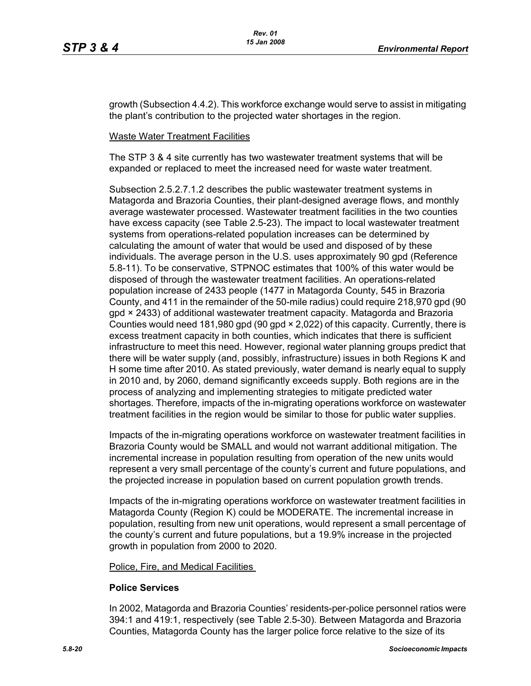growth (Subsection 4.4.2). This workforce exchange would serve to assist in mitigating the plant's contribution to the projected water shortages in the region.

#### Waste Water Treatment Facilities

The STP 3 & 4 site currently has two wastewater treatment systems that will be expanded or replaced to meet the increased need for waste water treatment.

Subsection 2.5.2.7.1.2 describes the public wastewater treatment systems in Matagorda and Brazoria Counties, their plant-designed average flows, and monthly average wastewater processed. Wastewater treatment facilities in the two counties have excess capacity (see Table 2.5-23). The impact to local wastewater treatment systems from operations-related population increases can be determined by calculating the amount of water that would be used and disposed of by these individuals. The average person in the U.S. uses approximately 90 gpd (Reference 5.8-11). To be conservative, STPNOC estimates that 100% of this water would be disposed of through the wastewater treatment facilities. An operations-related population increase of 2433 people (1477 in Matagorda County, 545 in Brazoria County, and 411 in the remainder of the 50-mile radius) could require 218,970 gpd (90 gpd × 2433) of additional wastewater treatment capacity. Matagorda and Brazoria Counties would need 181,980 gpd (90 gpd × 2,022) of this capacity. Currently, there is excess treatment capacity in both counties, which indicates that there is sufficient infrastructure to meet this need. However, regional water planning groups predict that there will be water supply (and, possibly, infrastructure) issues in both Regions K and H some time after 2010. As stated previously, water demand is nearly equal to supply in 2010 and, by 2060, demand significantly exceeds supply. Both regions are in the process of analyzing and implementing strategies to mitigate predicted water shortages. Therefore, impacts of the in-migrating operations workforce on wastewater treatment facilities in the region would be similar to those for public water supplies.

Impacts of the in-migrating operations workforce on wastewater treatment facilities in Brazoria County would be SMALL and would not warrant additional mitigation. The incremental increase in population resulting from operation of the new units would represent a very small percentage of the county's current and future populations, and the projected increase in population based on current population growth trends.

Impacts of the in-migrating operations workforce on wastewater treatment facilities in Matagorda County (Region K) could be MODERATE. The incremental increase in population, resulting from new unit operations, would represent a small percentage of the county's current and future populations, but a 19.9% increase in the projected growth in population from 2000 to 2020.

#### Police, Fire, and Medical Facilities

#### **Police Services**

In 2002, Matagorda and Brazoria Counties' residents-per-police personnel ratios were 394:1 and 419:1, respectively (see Table 2.5-30). Between Matagorda and Brazoria Counties, Matagorda County has the larger police force relative to the size of its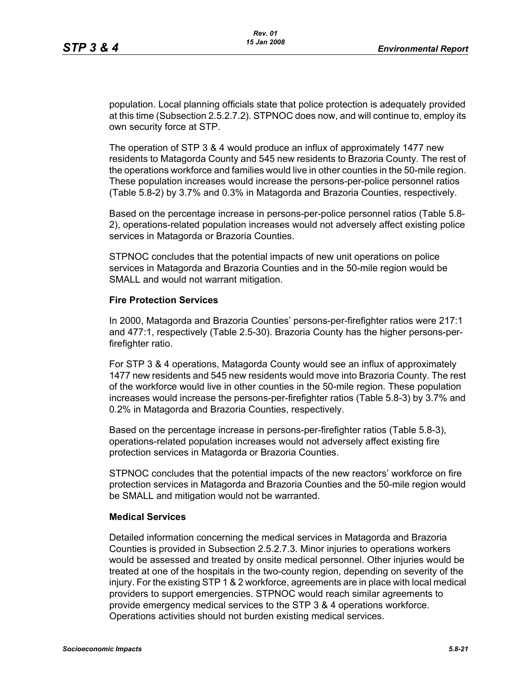population. Local planning officials state that police protection is adequately provided at this time (Subsection 2.5.2.7.2). STPNOC does now, and will continue to, employ its own security force at STP.

The operation of STP 3 & 4 would produce an influx of approximately 1477 new residents to Matagorda County and 545 new residents to Brazoria County. The rest of the operations workforce and families would live in other counties in the 50-mile region. These population increases would increase the persons-per-police personnel ratios (Table 5.8-2) by 3.7% and 0.3% in Matagorda and Brazoria Counties, respectively.

Based on the percentage increase in persons-per-police personnel ratios (Table 5.8- 2), operations-related population increases would not adversely affect existing police services in Matagorda or Brazoria Counties.

STPNOC concludes that the potential impacts of new unit operations on police services in Matagorda and Brazoria Counties and in the 50-mile region would be SMALL and would not warrant mitigation.

#### **Fire Protection Services**

In 2000, Matagorda and Brazoria Counties' persons-per-firefighter ratios were 217:1 and 477:1, respectively (Table 2.5-30). Brazoria County has the higher persons-perfirefighter ratio.

For STP 3 & 4 operations, Matagorda County would see an influx of approximately 1477 new residents and 545 new residents would move into Brazoria County. The rest of the workforce would live in other counties in the 50-mile region. These population increases would increase the persons-per-firefighter ratios (Table 5.8-3) by 3.7% and 0.2% in Matagorda and Brazoria Counties, respectively.

Based on the percentage increase in persons-per-firefighter ratios (Table 5.8-3), operations-related population increases would not adversely affect existing fire protection services in Matagorda or Brazoria Counties.

STPNOC concludes that the potential impacts of the new reactors' workforce on fire protection services in Matagorda and Brazoria Counties and the 50-mile region would be SMALL and mitigation would not be warranted.

#### **Medical Services**

Detailed information concerning the medical services in Matagorda and Brazoria Counties is provided in Subsection 2.5.2.7.3. Minor injuries to operations workers would be assessed and treated by onsite medical personnel. Other injuries would be treated at one of the hospitals in the two-county region, depending on severity of the injury. For the existing STP 1 & 2 workforce, agreements are in place with local medical providers to support emergencies. STPNOC would reach similar agreements to provide emergency medical services to the STP 3 & 4 operations workforce. Operations activities should not burden existing medical services.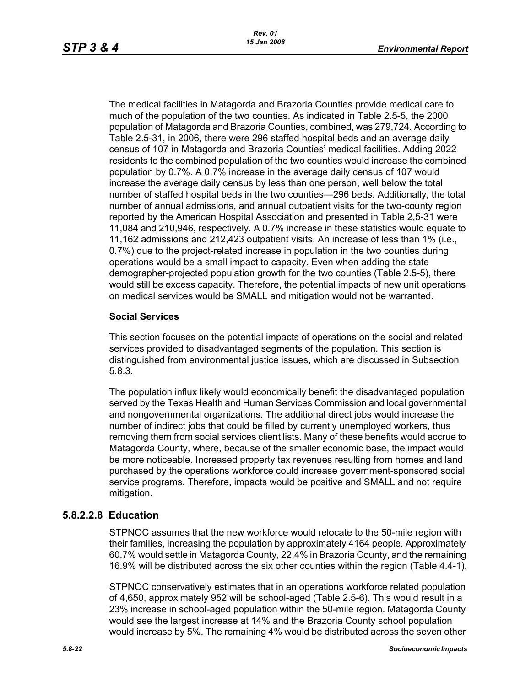The medical facilities in Matagorda and Brazoria Counties provide medical care to much of the population of the two counties. As indicated in Table 2.5-5, the 2000 population of Matagorda and Brazoria Counties, combined, was 279,724. According to Table 2.5-31, in 2006, there were 296 staffed hospital beds and an average daily census of 107 in Matagorda and Brazoria Counties' medical facilities. Adding 2022 residents to the combined population of the two counties would increase the combined population by 0.7%. A 0.7% increase in the average daily census of 107 would increase the average daily census by less than one person, well below the total number of staffed hospital beds in the two counties—296 beds. Additionally, the total number of annual admissions, and annual outpatient visits for the two-county region reported by the American Hospital Association and presented in Table 2,5-31 were 11,084 and 210,946, respectively. A 0.7% increase in these statistics would equate to 11,162 admissions and 212,423 outpatient visits. An increase of less than 1% (i.e., 0.7%) due to the project-related increase in population in the two counties during operations would be a small impact to capacity. Even when adding the state demographer-projected population growth for the two counties (Table 2.5-5), there would still be excess capacity. Therefore, the potential impacts of new unit operations on medical services would be SMALL and mitigation would not be warranted.

#### **Social Services**

This section focuses on the potential impacts of operations on the social and related services provided to disadvantaged segments of the population. This section is distinguished from environmental justice issues, which are discussed in Subsection 5.8.3.

The population influx likely would economically benefit the disadvantaged population served by the Texas Health and Human Services Commission and local governmental and nongovernmental organizations. The additional direct jobs would increase the number of indirect jobs that could be filled by currently unemployed workers, thus removing them from social services client lists. Many of these benefits would accrue to Matagorda County, where, because of the smaller economic base, the impact would be more noticeable. Increased property tax revenues resulting from homes and land purchased by the operations workforce could increase government-sponsored social service programs. Therefore, impacts would be positive and SMALL and not require mitigation.

# **5.8.2.2.8 Education**

STPNOC assumes that the new workforce would relocate to the 50-mile region with their families, increasing the population by approximately 4164 people. Approximately 60.7% would settle in Matagorda County, 22.4% in Brazoria County, and the remaining 16.9% will be distributed across the six other counties within the region (Table 4.4-1).

STPNOC conservatively estimates that in an operations workforce related population of 4,650, approximately 952 will be school-aged (Table 2.5-6). This would result in a 23% increase in school-aged population within the 50-mile region. Matagorda County would see the largest increase at 14% and the Brazoria County school population would increase by 5%. The remaining 4% would be distributed across the seven other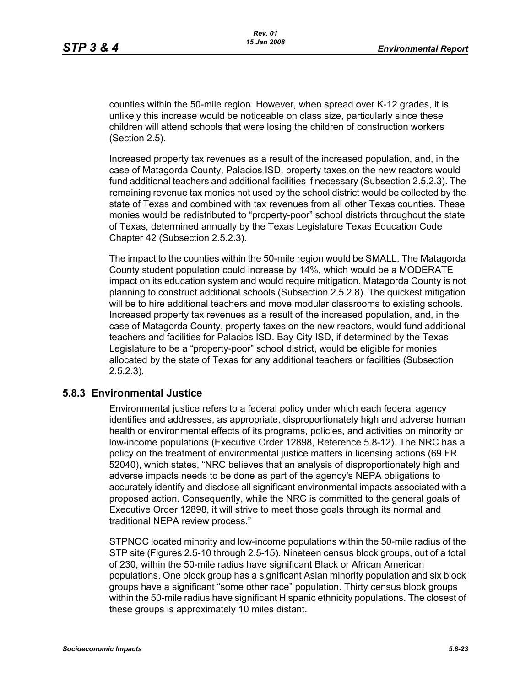counties within the 50-mile region. However, when spread over K-12 grades, it is unlikely this increase would be noticeable on class size, particularly since these children will attend schools that were losing the children of construction workers (Section 2.5).

Increased property tax revenues as a result of the increased population, and, in the case of Matagorda County, Palacios ISD, property taxes on the new reactors would fund additional teachers and additional facilities if necessary (Subsection 2.5.2.3). The remaining revenue tax monies not used by the school district would be collected by the state of Texas and combined with tax revenues from all other Texas counties. These monies would be redistributed to "property-poor" school districts throughout the state of Texas, determined annually by the Texas Legislature Texas Education Code Chapter 42 (Subsection 2.5.2.3).

The impact to the counties within the 50-mile region would be SMALL. The Matagorda County student population could increase by 14%, which would be a MODERATE impact on its education system and would require mitigation. Matagorda County is not planning to construct additional schools (Subsection 2.5.2.8). The quickest mitigation will be to hire additional teachers and move modular classrooms to existing schools. Increased property tax revenues as a result of the increased population, and, in the case of Matagorda County, property taxes on the new reactors, would fund additional teachers and facilities for Palacios ISD. Bay City ISD, if determined by the Texas Legislature to be a "property-poor" school district, would be eligible for monies allocated by the state of Texas for any additional teachers or facilities (Subsection 2.5.2.3).

#### **5.8.3 Environmental Justice**

Environmental justice refers to a federal policy under which each federal agency identifies and addresses, as appropriate, disproportionately high and adverse human health or environmental effects of its programs, policies, and activities on minority or low-income populations (Executive Order 12898, Reference 5.8-12). The NRC has a policy on the treatment of environmental justice matters in licensing actions (69 FR 52040), which states, "NRC believes that an analysis of disproportionately high and adverse impacts needs to be done as part of the agency's NEPA obligations to accurately identify and disclose all significant environmental impacts associated with a proposed action. Consequently, while the NRC is committed to the general goals of Executive Order 12898, it will strive to meet those goals through its normal and traditional NEPA review process."

STPNOC located minority and low-income populations within the 50-mile radius of the STP site (Figures 2.5-10 through 2.5-15). Nineteen census block groups, out of a total of 230, within the 50-mile radius have significant Black or African American populations. One block group has a significant Asian minority population and six block groups have a significant "some other race" population. Thirty census block groups within the 50-mile radius have significant Hispanic ethnicity populations. The closest of these groups is approximately 10 miles distant.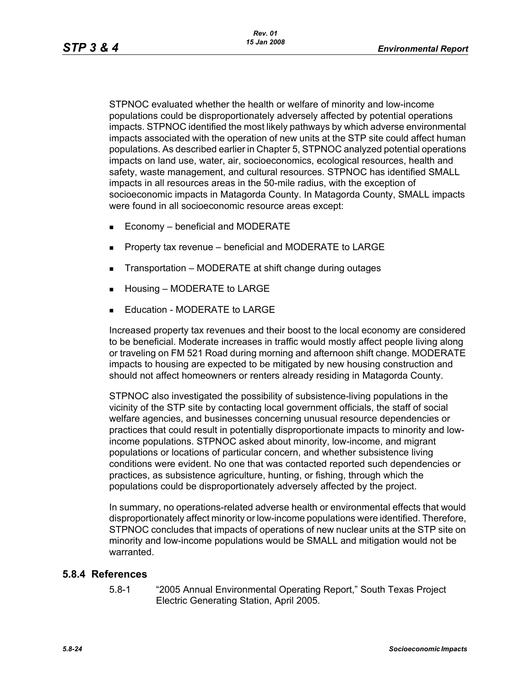STPNOC evaluated whether the health or welfare of minority and low-income populations could be disproportionately adversely affected by potential operations impacts. STPNOC identified the most likely pathways by which adverse environmental impacts associated with the operation of new units at the STP site could affect human populations. As described earlier in Chapter 5, STPNOC analyzed potential operations impacts on land use, water, air, socioeconomics, ecological resources, health and safety, waste management, and cultural resources. STPNOC has identified SMALL impacts in all resources areas in the 50-mile radius, with the exception of socioeconomic impacts in Matagorda County. In Matagorda County, SMALL impacts were found in all socioeconomic resource areas except:

- $\blacksquare$  Economy beneficial and MODERATE
- **Property tax revenue beneficial and MODERATE to LARGE**
- Transportation MODERATE at shift change during outages
- Housing MODERATE to LARGE
- Education MODERATE to LARGE

Increased property tax revenues and their boost to the local economy are considered to be beneficial. Moderate increases in traffic would mostly affect people living along or traveling on FM 521 Road during morning and afternoon shift change. MODERATE impacts to housing are expected to be mitigated by new housing construction and should not affect homeowners or renters already residing in Matagorda County.

STPNOC also investigated the possibility of subsistence-living populations in the vicinity of the STP site by contacting local government officials, the staff of social welfare agencies, and businesses concerning unusual resource dependencies or practices that could result in potentially disproportionate impacts to minority and lowincome populations. STPNOC asked about minority, low-income, and migrant populations or locations of particular concern, and whether subsistence living conditions were evident. No one that was contacted reported such dependencies or practices, as subsistence agriculture, hunting, or fishing, through which the populations could be disproportionately adversely affected by the project.

In summary, no operations-related adverse health or environmental effects that would disproportionately affect minority or low-income populations were identified. Therefore, STPNOC concludes that impacts of operations of new nuclear units at the STP site on minority and low-income populations would be SMALL and mitigation would not be warranted.

#### **5.8.4 References**

5.8-1 "2005 Annual Environmental Operating Report," South Texas Project Electric Generating Station, April 2005.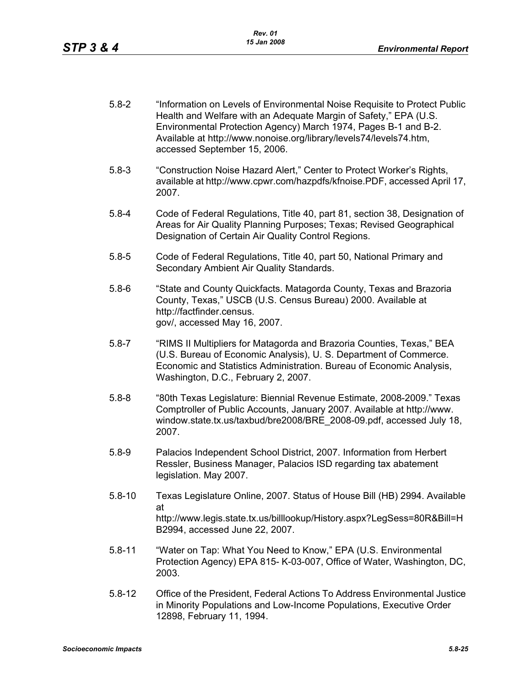- 5.8-2 "Information on Levels of Environmental Noise Requisite to Protect Public Health and Welfare with an Adequate Margin of Safety," EPA (U.S. Environmental Protection Agency) March 1974, Pages B-1 and B-2. Available at http://www.nonoise.org/library/levels74/levels74.htm, accessed September 15, 2006.
- 5.8-3 "Construction Noise Hazard Alert," Center to Protect Worker's Rights, available at http://www.cpwr.com/hazpdfs/kfnoise.PDF, accessed April 17, 2007.
- 5.8-4 Code of Federal Regulations, Title 40, part 81, section 38, Designation of Areas for Air Quality Planning Purposes; Texas; Revised Geographical Designation of Certain Air Quality Control Regions.
- 5.8-5 Code of Federal Regulations, Title 40, part 50, National Primary and Secondary Ambient Air Quality Standards.
- 5.8-6 "State and County Quickfacts. Matagorda County, Texas and Brazoria County, Texas," USCB (U.S. Census Bureau) 2000. Available at http://factfinder.census. gov/, accessed May 16, 2007.
- 5.8-7 "RIMS II Multipliers for Matagorda and Brazoria Counties, Texas," BEA (U.S. Bureau of Economic Analysis), U. S. Department of Commerce. Economic and Statistics Administration. Bureau of Economic Analysis, Washington, D.C., February 2, 2007.
- 5.8-8 "80th Texas Legislature: Biennial Revenue Estimate, 2008-2009." Texas Comptroller of Public Accounts, January 2007. Available at http://www. window.state.tx.us/taxbud/bre2008/BRE\_2008-09.pdf, accessed July 18, 2007.
- 5.8-9 Palacios Independent School District, 2007. Information from Herbert Ressler, Business Manager, Palacios ISD regarding tax abatement legislation. May 2007.
- 5.8-10 Texas Legislature Online, 2007. Status of House Bill (HB) 2994. Available at http://www.legis.state.tx.us/billlookup/History.aspx?LegSess=80R&Bill=H B2994, accessed June 22, 2007.
- 5.8-11 "Water on Tap: What You Need to Know," EPA (U.S. Environmental Protection Agency) EPA 815- K-03-007, Office of Water, Washington, DC, 2003.
- 5.8-12 Office of the President, Federal Actions To Address Environmental Justice in Minority Populations and Low-Income Populations, Executive Order 12898, February 11, 1994.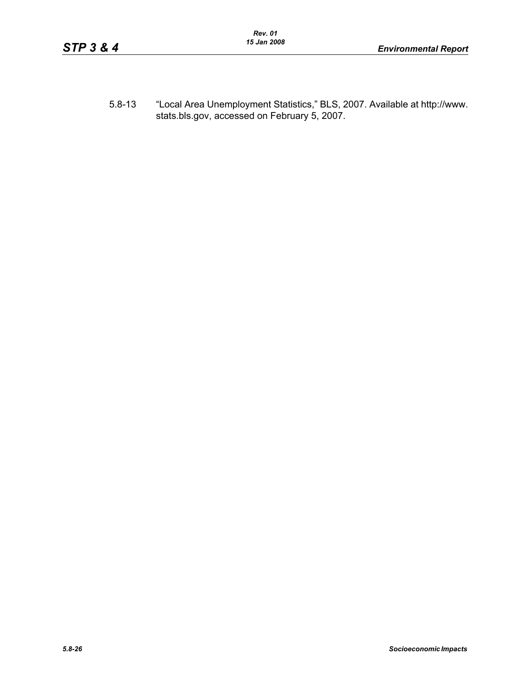5.8-13 "Local Area Unemployment Statistics," BLS, 2007. Available at http://www. stats.bls.gov, accessed on February 5, 2007.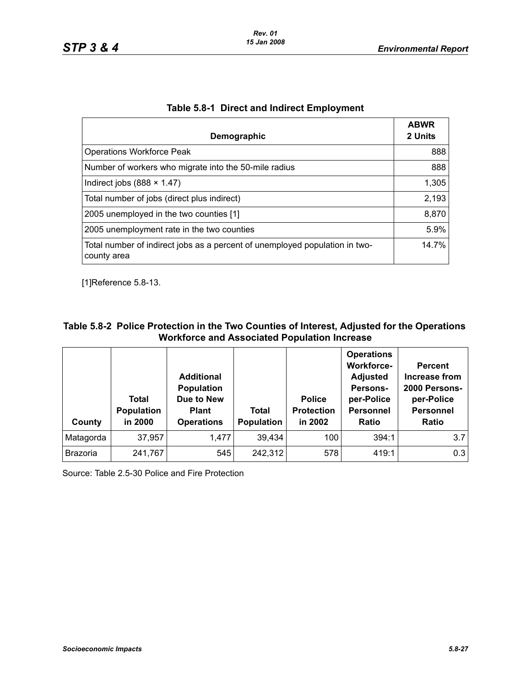| Demographic                                                                                | <b>ABWR</b><br>2 Units |
|--------------------------------------------------------------------------------------------|------------------------|
| <b>Operations Workforce Peak</b>                                                           | 888                    |
| Number of workers who migrate into the 50-mile radius                                      | 888                    |
| Indirect jobs $(888 \times 1.47)$                                                          | 1,305                  |
| Total number of jobs (direct plus indirect)                                                | 2,193                  |
| 2005 unemployed in the two counties [1]                                                    | 8,870                  |
| 2005 unemployment rate in the two counties                                                 | 5.9%                   |
| Total number of indirect jobs as a percent of unemployed population in two-<br>county area | 14.7%                  |

## **Table 5.8-1 Direct and Indirect Employment**

[1]Reference 5.8-13.

# **Table 5.8-2 Police Protection in the Two Counties of Interest, Adjusted for the Operations Workforce and Associated Population Increase**

| County    | Total<br><b>Population</b><br>in 2000 | <b>Additional</b><br><b>Population</b><br>Due to New<br><b>Plant</b><br><b>Operations</b> | Total<br><b>Population</b> | <b>Police</b><br><b>Protection</b><br>in 2002 | <b>Operations</b><br><b>Workforce-</b><br><b>Adjusted</b><br>Persons-<br>per-Police<br><b>Personnel</b><br><b>Ratio</b> | <b>Percent</b><br>Increase from<br>2000 Persons-<br>per-Police<br><b>Personnel</b><br><b>Ratio</b> |
|-----------|---------------------------------------|-------------------------------------------------------------------------------------------|----------------------------|-----------------------------------------------|-------------------------------------------------------------------------------------------------------------------------|----------------------------------------------------------------------------------------------------|
| Matagorda | 37,957                                | 1,477                                                                                     | 39,434                     | 100                                           | 394:1                                                                                                                   | 3.7                                                                                                |
| Brazoria  | 241,767                               | 545                                                                                       | 242,312                    | 578                                           | 419:1                                                                                                                   | 0.3                                                                                                |

Source: Table 2.5-30 Police and Fire Protection